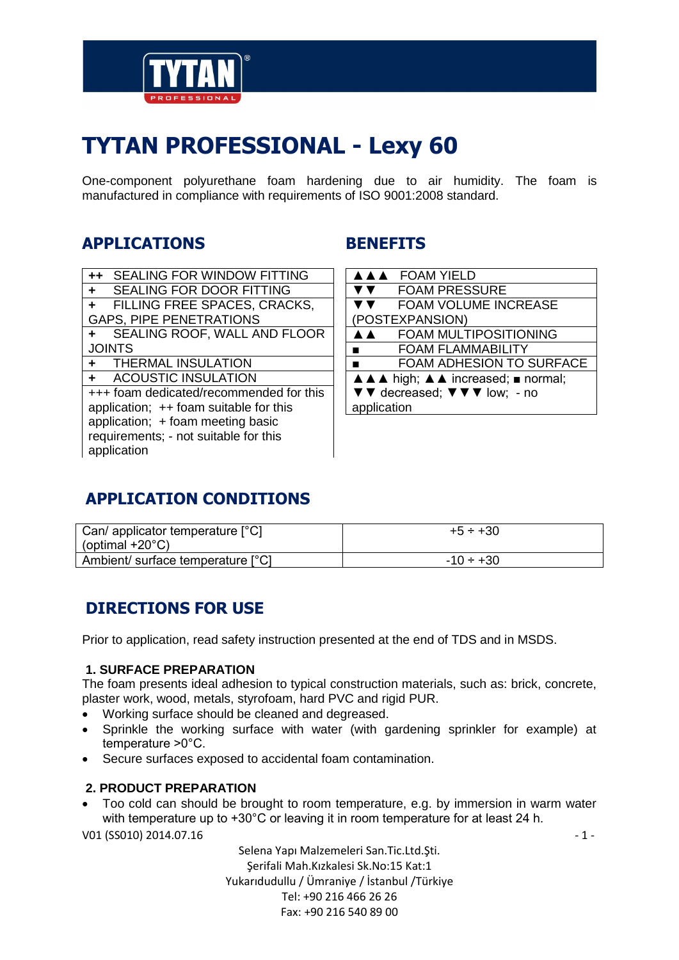

# **TYTAN PROFESSIONAL - Lexy 60**

One-component polyurethane foam hardening due to air humidity. The foam is manufactured in compliance with requirements of ISO 9001:2008 standard.

# **APPLICATIONS**

| $++$                                     | <b>SEALING FOR WINDOW FITTING</b> |  |  |
|------------------------------------------|-----------------------------------|--|--|
| ÷                                        | <b>SEALING FOR DOOR FITTING</b>   |  |  |
| $\ddot{}$                                | FILLING FREE SPACES, CRACKS,      |  |  |
| <b>GAPS, PIPE PENETRATIONS</b>           |                                   |  |  |
| ÷                                        | SEALING ROOF, WALL AND FLOOR      |  |  |
| <b>JOINTS</b>                            |                                   |  |  |
|                                          | + THERMAL INSULATION              |  |  |
|                                          | + ACOUSTIC INSULATION             |  |  |
| +++ foam dedicated/recommended for this  |                                   |  |  |
| application; $++$ foam suitable for this |                                   |  |  |
| application; + foam meeting basic        |                                   |  |  |
| requirements; - not suitable for this    |                                   |  |  |
| application                              |                                   |  |  |
|                                          |                                   |  |  |

# **BENEFITS**

|                                    | AAA FOAM YIELD                  |  |  |
|------------------------------------|---------------------------------|--|--|
|                                    | <b>FOAM PRESSURE</b>            |  |  |
|                                    | <b>FOAM VOLUME INCREASE</b>     |  |  |
|                                    | POSTEXPANSION)                  |  |  |
| A A                                | <b>FOAM MULTIPOSITIONING</b>    |  |  |
|                                    | <b>FOAM FLAMMABILITY</b>        |  |  |
|                                    | <b>FOAM ADHESION TO SURFACE</b> |  |  |
| A A A high; A A increased; normal; |                                 |  |  |
| ▼▼ decreased; ▼ ▼ ▼ low; - no      |                                 |  |  |
| application                        |                                 |  |  |

# **APPLICATION CONDITIONS**

| Can/ applicator temperature $[°C]$<br>(optimal $+20^{\circ}$ C) | $+5 \div +30$  |
|-----------------------------------------------------------------|----------------|
| Ambient/ surface temperature [°C]                               | $-10 \div +30$ |

# **DIRECTIONS FOR USE**

Prior to application, read safety instruction presented at the end of TDS and in MSDS.

#### **1. SURFACE PREPARATION**

The foam presents ideal adhesion to typical construction materials, such as: brick, concrete, plaster work, wood, metals, styrofoam, hard PVC and rigid PUR.

- Working surface should be cleaned and degreased.
- Sprinkle the working surface with water (with gardening sprinkler for example) at temperature >0°C.
- Secure surfaces exposed to accidental foam contamination.

#### **2. PRODUCT PREPARATION**

 Too cold can should be brought to room temperature, e.g. by immersion in warm water with temperature up to +30°C or leaving it in room temperature for at least 24 h.

V01 (SS010) 2014.07.16  $-1$  -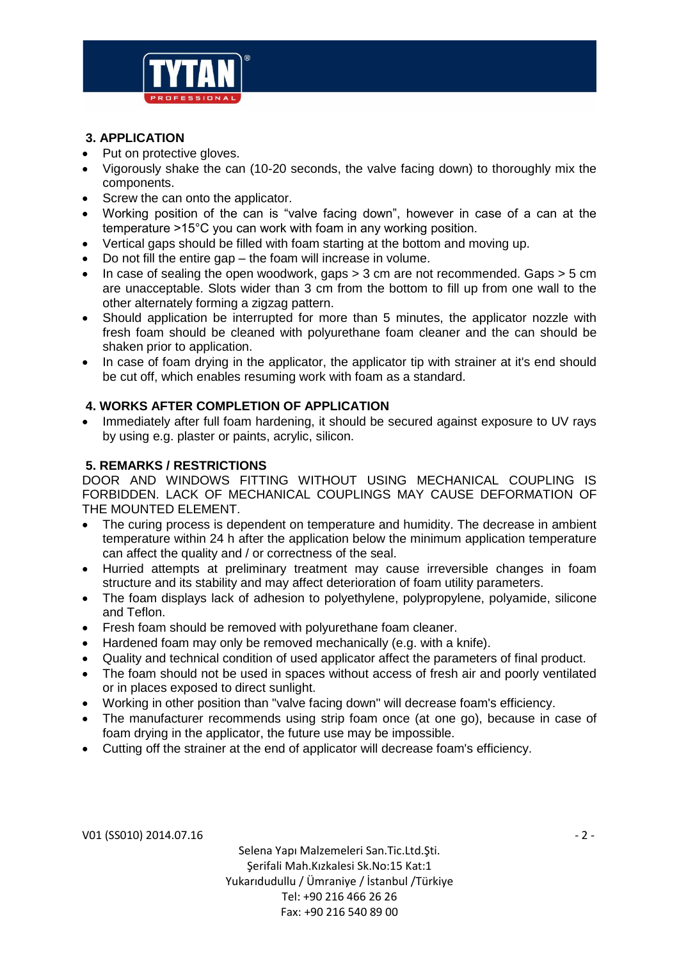

#### **3. APPLICATION**

- Put on protective gloves.
- Vigorously shake the can (10-20 seconds, the valve facing down) to thoroughly mix the components.
- Screw the can onto the applicator.
- Working position of the can is "valve facing down", however in case of a can at the temperature >15°C you can work with foam in any working position.
- Vertical gaps should be filled with foam starting at the bottom and moving up.
- Do not fill the entire gap the foam will increase in volume.
- In case of sealing the open woodwork, gaps > 3 cm are not recommended. Gaps > 5 cm are unacceptable. Slots wider than 3 cm from the bottom to fill up from one wall to the other alternately forming a zigzag pattern.
- Should application be interrupted for more than 5 minutes, the applicator nozzle with fresh foam should be cleaned with polyurethane foam cleaner and the can should be shaken prior to application.
- In case of foam drying in the applicator, the applicator tip with strainer at it's end should be cut off, which enables resuming work with foam as a standard.

#### **4. WORKS AFTER COMPLETION OF APPLICATION**

• Immediately after full foam hardening, it should be secured against exposure to UV rays by using e.g. plaster or paints, acrylic, silicon.

#### **5. REMARKS / RESTRICTIONS**

DOOR AND WINDOWS FITTING WITHOUT USING MECHANICAL COUPLING IS FORBIDDEN. LACK OF MECHANICAL COUPLINGS MAY CAUSE DEFORMATION OF THE MOUNTED ELEMENT.

- The curing process is dependent on temperature and humidity. The decrease in ambient temperature within 24 h after the application below the minimum application temperature can affect the quality and / or correctness of the seal.
- Hurried attempts at preliminary treatment may cause irreversible changes in foam structure and its stability and may affect deterioration of foam utility parameters.
- The foam displays lack of adhesion to polyethylene, polypropylene, polyamide, silicone and Teflon.
- Fresh foam should be removed with polyurethane foam cleaner.
- Hardened foam may only be removed mechanically (e.g. with a knife).
- Quality and technical condition of used applicator affect the parameters of final product.
- The foam should not be used in spaces without access of fresh air and poorly ventilated or in places exposed to direct sunlight.
- Working in other position than "valve facing down" will decrease foam's efficiency.
- The manufacturer recommends using strip foam once (at one go), because in case of foam drying in the applicator, the future use may be impossible.
- Cutting off the strainer at the end of applicator will decrease foam's efficiency.

V01 (SS010) 2014.07.16  $-2$  -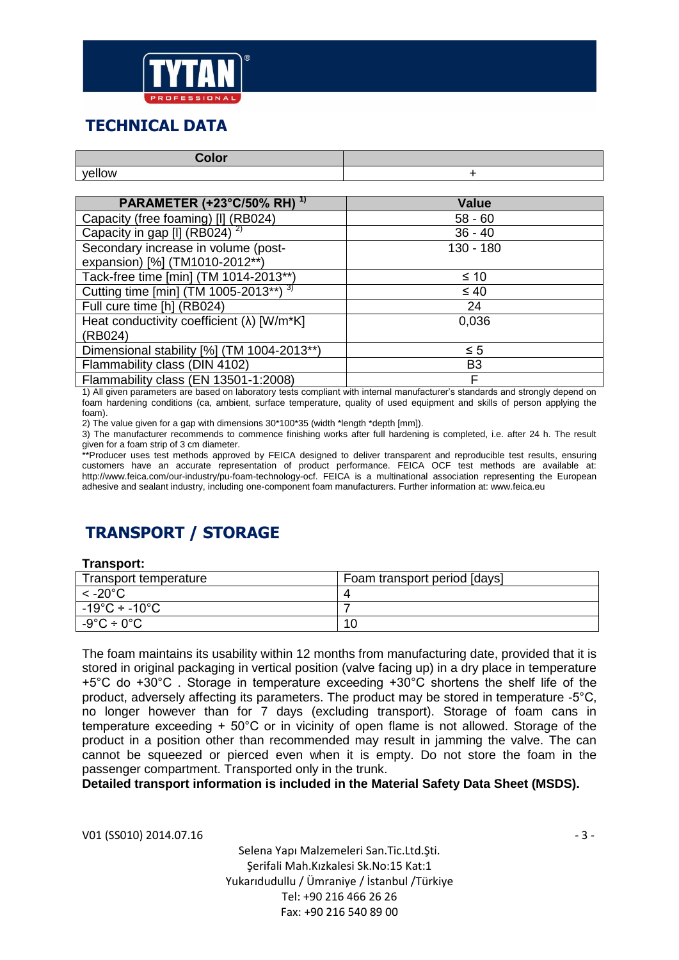

### **TECHNICAL DATA**

| <b>Color</b>                                  |              |
|-----------------------------------------------|--------------|
| yellow                                        |              |
|                                               |              |
| <b>PARAMETER (+23°C/50% RH)</b> <sup>1)</sup> | <b>Value</b> |
| Capacity (free foaming) [I] (RB024)           | $58 - 60$    |
| Capacity in gap [I] (RB024) <sup>2)</sup>     | $36 - 40$    |
| Secondary increase in volume (post-           | $130 - 180$  |
| expansion) [%] (TM1010-2012**)                |              |
| Tack-free time [min] (TM 1014-2013**)         | ≤ 10         |

| $\leq 40$      |
|----------------|
| 24             |
| 0.036          |
|                |
| $\leq 5$       |
| B <sub>3</sub> |
|                |
|                |

1) All given parameters are based on laboratory tests compliant with internal manufacturer's standards and strongly depend on foam hardening conditions (ca, ambient, surface temperature, quality of used equipment and skills of person applying the foam).

2) The value given for a gap with dimensions  $30*100*35$  (width \*length \*depth [mm]).

3) The manufacturer recommends to commence finishing works after full hardening is completed, i.e. after 24 h. The result given for a foam strip of 3 cm diameter.

\*\*Producer uses test methods approved by FEICA designed to deliver transparent and reproducible test results, ensuring customers have an accurate representation of product performance. FEICA OCF test methods are available at: http://www.feica.com/our-industry/pu-foam-technology-ocf. FEICA is a multinational association representing the European adhesive and sealant industry, including one-component foam manufacturers. Further information at: www.feica.eu

# **TRANSPORT / STORAGE**

#### **Transport:**

| Transport temperature                     | Foam transport period [days] |
|-------------------------------------------|------------------------------|
| $<$ -20 $^{\circ}$ C                      |                              |
| $-19^{\circ}$ C ÷ -10 $^{\circ}$ C $^{-}$ |                              |
| $-9^{\circ}$ C ÷ 0 $^{\circ}$ C           | 10                           |

The foam maintains its usability within 12 months from manufacturing date, provided that it is stored in original packaging in vertical position (valve facing up) in a dry place in temperature +5°C do +30°C . Storage in temperature exceeding +30°C shortens the shelf life of the product, adversely affecting its parameters. The product may be stored in temperature -5°C, no longer however than for 7 days (excluding transport). Storage of foam cans in temperature exceeding + 50°C or in vicinity of open flame is not allowed. Storage of the product in a position other than recommended may result in jamming the valve. The can cannot be squeezed or pierced even when it is empty. Do not store the foam in the passenger compartment. Transported only in the trunk.

**Detailed transport information is included in the Material Safety Data Sheet (MSDS).**

V01 (SS010) 2014.07.16  $-$  3 -